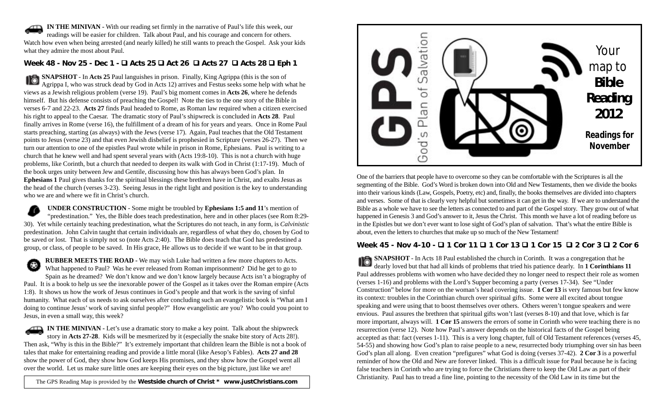**IN THE MINIVAN -** With our reading set firmly in the narrative of Paul's life this week, our readings will be easier for children. Talk about Paul, and his courage and concern for others. Watch how even when being arrested (and nearly killed) he still wants to preach the Gospel. Ask your kids what they admire the most about Paul.

## **Week 48 - Nov 25 - Dec 1 - Acts 25 Act 26 Acts 27 Acts 28 Eph 1**

**SNAPSHOT** - In **Acts 25** Paul languishes in prison. Finally, King Agrippa (this is the son of Agrippa I, who was struck dead by God in Acts 12) arrives and Festus seeks some help with what he views as a Jewish religious problem (verse 19). Paul's big moment comes in **Acts 26**, where he defends himself. But his defense consists of preaching the Gospel! Note the ties to the one story of the Bible in verses 6-7 and 22-23. **Acts 27** finds Paul headed to Rome, as Roman law required when a citizen exercised his right to appeal to the Caesar. The dramatic story of Paul's shipwreck is concluded in **Acts 28**. Paul finally arrives in Rome (verse 16), the fulfillment of a dream of his for years and years. Once in Rome Paul starts preaching, starting (as always) with the Jews (verse 17). Again, Paul teaches that the Old Testament points to Jesus (verse 23) and that even Jewish disbelief is prophesied in Scripture (verses 26-27). Then we turn our attention to one of the epistles Paul wrote while in prison in Rome, Ephesians. Paul is writing to a church that he knew well and had spent several years with (Acts 19:8-10). This is not a church with huge problems, like Corinth, but a church that needed to deepen its walk with God in Christ (1:17-19). Much of the book urges unity between Jew and Gentile, discussing how this has always been God's plan. In **Ephesians 1** Paul gives thanks for the spiritual blessings these brethren have in Christ, and exalts Jesus as the head of the church (verses 3-23). Seeing Jesus in the right light and position is the key to understanding who we are and where we fit in Christ's church.

**UNDER CONSTRUCTION** - Some might be troubled by **Ephesians 1:5 and 11**'s mention of "predestination." Yes, the Bible does teach predestination, here and in other places (see Rom 8:29- 30). Yet while certainly teaching predestination, what the Scriptures do not teach, in any form, is *Calvinistic* predestination. John Calvin taught that certain individuals are, regardless of what they do, chosen by God to be saved or lost. That is simply not so (note Acts 2:40). The Bible does teach that God has predestined a group, or class, of people to be saved. In His grace, He allows us to decide if we want to be in that group.

**RUBBER MEETS THE ROAD -** We may wish Luke had written a few more chapters to Acts. ⊛ What happened to Paul? Was he ever released from Roman imprisonment? Did he get to go to Spain as he dreamed? We don't know and we don't know largely because Acts isn't a biography of Paul. It is a book to help us see the inexorable power of the Gospel as it takes over the Roman empire (Acts 1:8). It shows us how the work of Jesus continues in God's people and that work is the saving of sinful humanity. What each of us needs to ask ourselves after concluding such an evangelistic book is "What am I doing to continue Jesus' work of saving sinful people?" How evangelistic are you? Who could you point to Jesus, in even a small way, this week?

**IN THE MINIVAN -** Let's use a dramatic story to make a key point. Talk about the shipwreck story in **Acts 27-28**. Kids will be mesmerized by it (especially the snake bite story of Acts 28!). Then ask, "Why is this in the Bible?" It's extremely important that children learn the Bible is not a book of tales that make for entertaining reading and provide a little moral (like Aesop's Fables). **Acts 27 and 28** show the power of God, they show how God keeps His promises, and they show how the Gospel went all over the world. Let us make sure little ones are keeping their eyes on the big picture, just like we are!

The GPS Reading Map is provided by the **Westside church of Christ \* www.justChristians.com**



One of the barriers that people have to overcome so they can be comfortable with the Scriptures is all the segmenting of the Bible. God's Word is broken down into Old and New Testaments, then we divide the books into their various kinds (Law, Gospels, Poetry, etc) and, finally, the books themselves are divided into chapters and verses. Some of that is clearly very helpful but sometimes it can get in the way. If we are to understand the Bible as a whole we have to see the letters as connected to and part of the Gospel story. They grow out of what happened in Genesis 3 and God's answer to it, Jesus the Christ. This month we have a lot of reading before us in the Epistles but we don't ever want to lose sight of God's plan of salvation. That's what the entire Bible is about, even the letters to churches that make up so much of the New Testament!

## **Week 45 - Nov 4-10 - 1 Cor 11 1 Cor 13 1 Cor 15 2 Cor 3 2 Cor 6**

**SNAPSHOT** - In Acts 18 Paul established the church in Corinth. It was a congregation that he dearly loved but that had all kinds of problems that tried his patience dearly. In **1 Corinthians 11** Paul addresses problems with women who have decided they no longer need to respect their role as women (verses 1-16) and problems with the Lord's Supper becoming a party (verses 17-34). See "Under Construction" below for more on the woman's head covering issue. **1 Cor 13** is very famous but few know its context: troubles in the Corinthian church over spiritual gifts. Some were all excited about tongue speaking and were using that to boost themselves over others. Others weren't tongue speakers and were envious. Paul assures the brethren that spiritual gifts won't last (verses 8-10) and that love, which is far more important, always will. **1 Cor 15** answers the errors of some in Corinth who were teaching there is no resurrection (verse 12). Note how Paul's answer depends on the historical facts of the Gospel being accepted as that: fact (verses 1-11). This is a very long chapter, full of Old Testament references (verses 45, 54-55) and showing how God's plan to raise people to a new, resurrected body triumphing over sin has been God's plan all along. Even creation "prefigures" what God is doing (verses 37-42). **2 Cor 3** is a powerful reminder of how the Old and New are forever linked. This is a difficult issue for Paul because he is facing false teachers in Corinth who are trying to force the Christians there to keep the Old Law as part of their Christianity. Paul has to tread a fine line, pointing to the necessity of the Old Law in its time but the